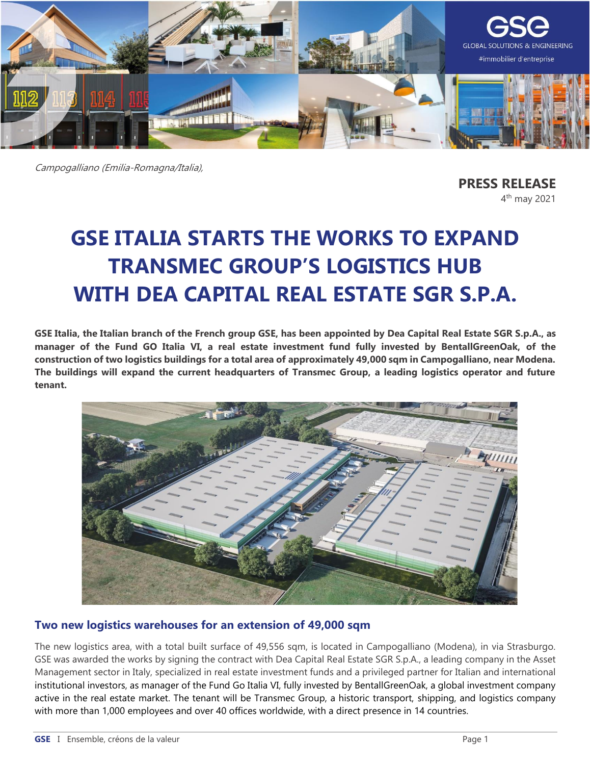

Campogalliano (Emilia-Romagna/Italia),

**PRESS RELEASE** 4<sup>th</sup> may 2021

# **GSE ITALIA STARTS THE WORKS TO EXPAND TRANSMEC GROUP'S LOGISTICS HUB WITH DEA CAPITAL REAL ESTATE SGR S.P.A.**

**GSE Italia, the Italian branch of the French group GSE, has been appointed by Dea Capital Real Estate SGR S.p.A., as manager of the Fund GO Italia VI, a real estate investment fund fully invested by BentallGreenOak, of the construction of two logistics buildings for a total area of approximately 49,000 sqm in Campogalliano, near Modena. The buildings will expand the current headquarters of Transmec Group, a leading logistics operator and future tenant.**



## **Two new logistics warehouses for an extension of 49,000 sqm**

The new logistics area, with a total built surface of 49,556 sqm, is located in Campogalliano (Modena), in via Strasburgo. GSE was awarded the works by signing the contract with Dea Capital Real Estate SGR S.p.A., a leading company in the Asset Management sector in Italy, specialized in real estate investment funds and a privileged partner for Italian and international institutional investors, as manager of the Fund Go Italia VI, fully invested by BentallGreenOak, a global investment company active in the real estate market. The tenant will be Transmec Group, a historic transport, shipping, and logistics company with more than 1,000 employees and over 40 offices worldwide, with a direct presence in 14 countries.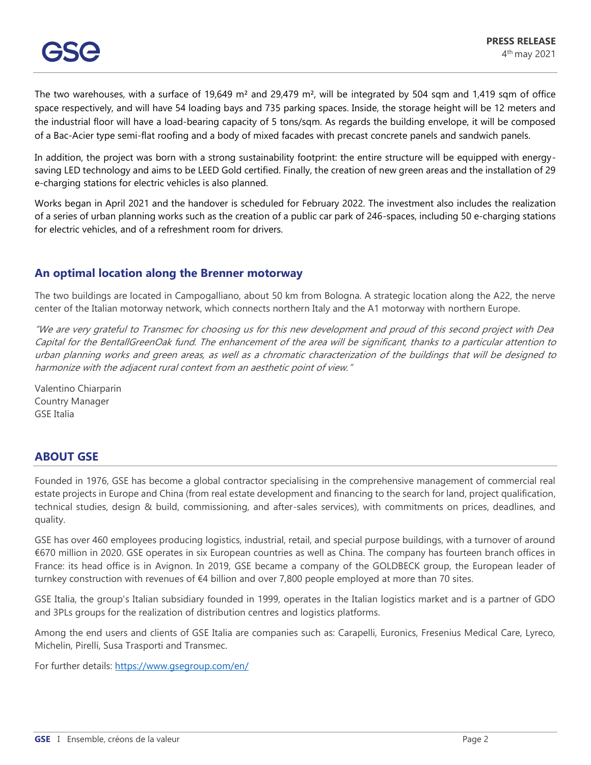The two warehouses, with a surface of 19,649 m<sup>2</sup> and 29,479 m<sup>2</sup>, will be integrated by 504 sqm and 1,419 sqm of office space respectively, and will have 54 loading bays and 735 parking spaces. Inside, the storage height will be 12 meters and the industrial floor will have a load-bearing capacity of 5 tons/sqm. As regards the building envelope, it will be composed of a Bac-Acier type semi-flat roofing and a body of mixed facades with precast concrete panels and sandwich panels.

In addition, the project was born with a strong sustainability footprint: the entire structure will be equipped with energysaving LED technology and aims to be LEED Gold certified. Finally, the creation of new green areas and the installation of 29 e-charging stations for electric vehicles is also planned.

Works began in April 2021 and the handover is scheduled for February 2022. The investment also includes the realization of a series of urban planning works such as the creation of a public car park of 246-spaces, including 50 e-charging stations for electric vehicles, and of a refreshment room for drivers.

## **An optimal location along the Brenner motorway**

The two buildings are located in Campogalliano, about 50 km from Bologna. A strategic location along the A22, the nerve center of the Italian motorway network, which connects northern Italy and the A1 motorway with northern Europe.

"We are very grateful to Transmec for choosing us for this new development and proud of this second project with Dea Capital for the BentallGreenOak fund. The enhancement of the area will be significant, thanks to <sup>a</sup> particular attention to urban planning works and green areas, as well as a chromatic characterization of the buildings that will be designed to harmonize with the adjacent rural context from an aesthetic point of view."

Valentino Chiarparin Country Manager GSE Italia

## **ABOUT GSE**

Founded in 1976, GSE has become a global contractor specialising in the comprehensive management of commercial real estate projects in Europe and China (from real estate development and financing to the search for land, project qualification, technical studies, design & build, commissioning, and after-sales services), with commitments on prices, deadlines, and quality.

GSE has over 460 employees producing logistics, industrial, retail, and special purpose buildings, with a turnover of around €670 million in 2020. GSE operates in six European countries as well as China. The company has fourteen branch offices in France: its head office is in Avignon. In 2019, GSE became a company of the GOLDBECK group, the European leader of turnkey construction with revenues of €4 billion and over 7,800 people employed at more than 70 sites.

GSE Italia, the group's Italian subsidiary founded in 1999, operates in the Italian logistics market and is a partner of GDO and 3PLs groups for the realization of distribution centres and logistics platforms.

Among the end users and clients of GSE Italia are companies such as: Carapelli, Euronics, Fresenius Medical Care, Lyreco, Michelin, Pirelli, Susa Trasporti and Transmec.

For further details:<https://www.gsegroup.com/en/>